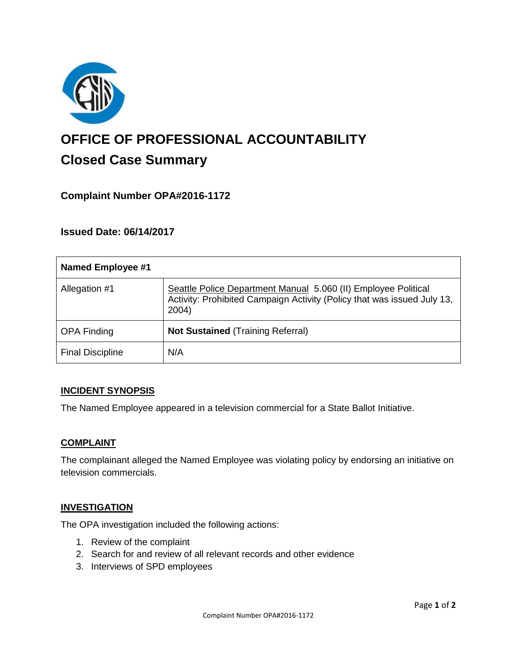

# **OFFICE OF PROFESSIONAL ACCOUNTABILITY Closed Case Summary**

## **Complaint Number OPA#2016-1172**

**Issued Date: 06/14/2017**

| <b>Named Employee #1</b> |                                                                                                                                                    |
|--------------------------|----------------------------------------------------------------------------------------------------------------------------------------------------|
| Allegation #1            | Seattle Police Department Manual 5.060 (II) Employee Political<br>Activity: Prohibited Campaign Activity (Policy that was issued July 13,<br>2004) |
| <b>OPA Finding</b>       | <b>Not Sustained (Training Referral)</b>                                                                                                           |
| <b>Final Discipline</b>  | N/A                                                                                                                                                |

## **INCIDENT SYNOPSIS**

The Named Employee appeared in a television commercial for a State Ballot Initiative.

#### **COMPLAINT**

The complainant alleged the Named Employee was violating policy by endorsing an initiative on television commercials.

#### **INVESTIGATION**

The OPA investigation included the following actions:

- 1. Review of the complaint
- 2. Search for and review of all relevant records and other evidence
- 3. Interviews of SPD employees